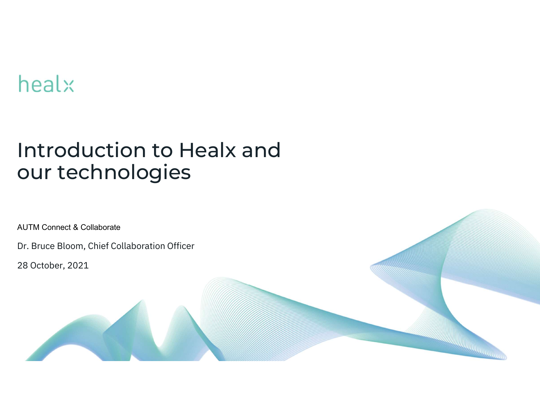# healx

# Introduction to Healx and our technologies

**Communication Communication** 

AUTM Connect & Collaborate

Dr. Bruce Bloom, Chief Collaboration Officer AUTM Connect & Collaborate<br>Dr. Bruce Bloom, Chief Collaboration Of<br>28 October, 2021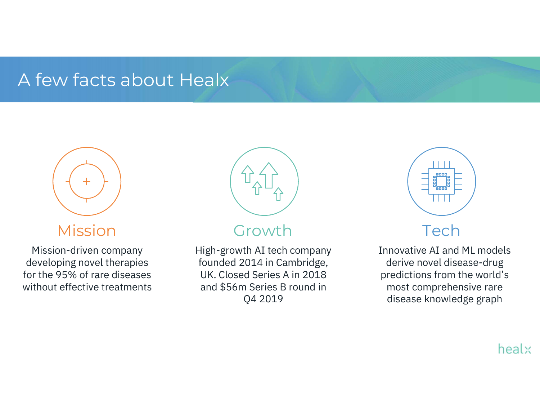## A few facts about Healx



## Mission

Mission-driven company developing novel therapies for the 95% of rare diseases without effective treatments



## Growth

High-growth AI tech company founded 2014 in Cambridge, UK. Closed Series A in 2018 and \$56m Series B round in Q4 2019



## Tech

Innovative AI and ML models derive novel disease-drug predictions from the world's most comprehensive rare disease knowledge graph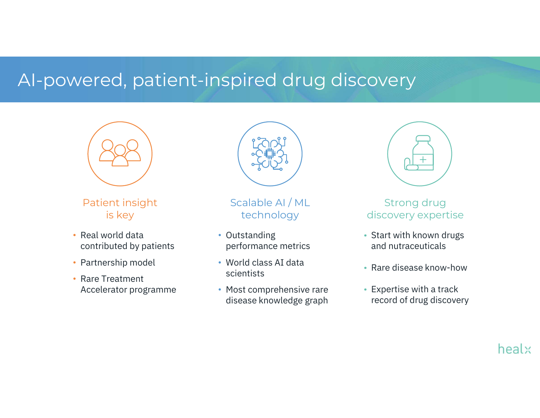## AI-powered, patient-inspired drug discovery



Patient insight is key

- Real world data contributed by patients
- Partnership model
- Rare Treatment Accelerator programme



Scalable AI / ML technology

- Outstanding performance metrics
- World class AI data scientists
- Most comprehensive rare disease knowledge graph



#### Strong drug discovery expertise

- Start with known drugs and nutraceuticals
- Rare disease know-how
- Expertise with a track record of drug discovery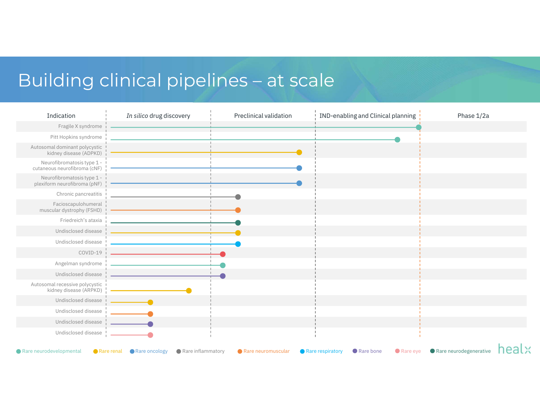# Building clinical pipelines – at scale

|                                                            | Building clinical pipelines - at scale |                        |                                    |            |  |
|------------------------------------------------------------|----------------------------------------|------------------------|------------------------------------|------------|--|
| Indication                                                 | In silico drug discovery               | Preclinical validation | IND-enabling and Clinical planning | Phase 1/2a |  |
| Fragile X syndrome                                         |                                        |                        |                                    |            |  |
| Pitt Hopkins syndrome                                      |                                        |                        |                                    |            |  |
| Autosomal dominant polycystic<br>kidney disease (ADPKD)    |                                        |                        |                                    |            |  |
| Neurofibromatosis type 1 -<br>cutaneous neurofibroma (cNF) |                                        |                        |                                    |            |  |
| Neurofibromatosis type 1 -<br>plexiform neurofibroma (pNF) |                                        |                        |                                    |            |  |
| Chronic pancreatitis                                       |                                        |                        |                                    |            |  |
| Facioscapulohumeral<br>muscular dystrophy (FSHD)           |                                        |                        |                                    |            |  |
| Friedreich's ataxia                                        |                                        |                        |                                    |            |  |
| Undisclosed disease                                        |                                        |                        |                                    |            |  |
| Undisclosed disease                                        |                                        |                        |                                    |            |  |
| COVID-19                                                   |                                        |                        |                                    |            |  |
| Angelman syndrome                                          |                                        |                        |                                    |            |  |
| Undisclosed disease                                        |                                        |                        |                                    |            |  |
| Autosomal recessive polycystic<br>kidney disease (ARPKD)   |                                        |                        |                                    |            |  |
| Undisclosed disease                                        |                                        |                        |                                    |            |  |
| Undisclosed disease                                        |                                        |                        |                                    |            |  |
| Undisclosed disease                                        |                                        |                        |                                    |            |  |
| Undisclosed disease                                        |                                        |                        |                                    |            |  |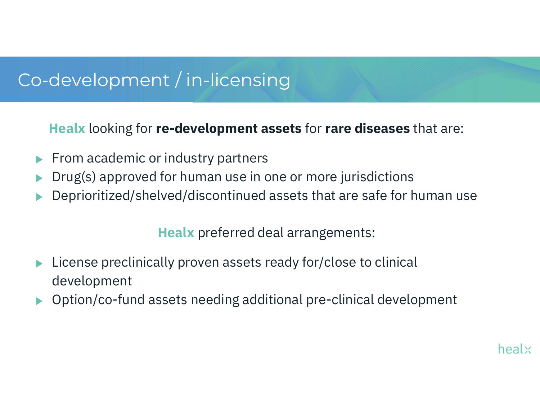## Co-development / in-licensing

Healx looking for re-development assets for rare diseases that are:

- From academic or industry partners
- Drug(s) approved for human use in one or more jurisdictions
- Deprioritized/shelved/discontinued assets that are safe for human use

Healx preferred deal arrangements:

- License preclinically proven assets ready for/close to clinical development
- Option/co-fund assets needing additional pre-clinical development